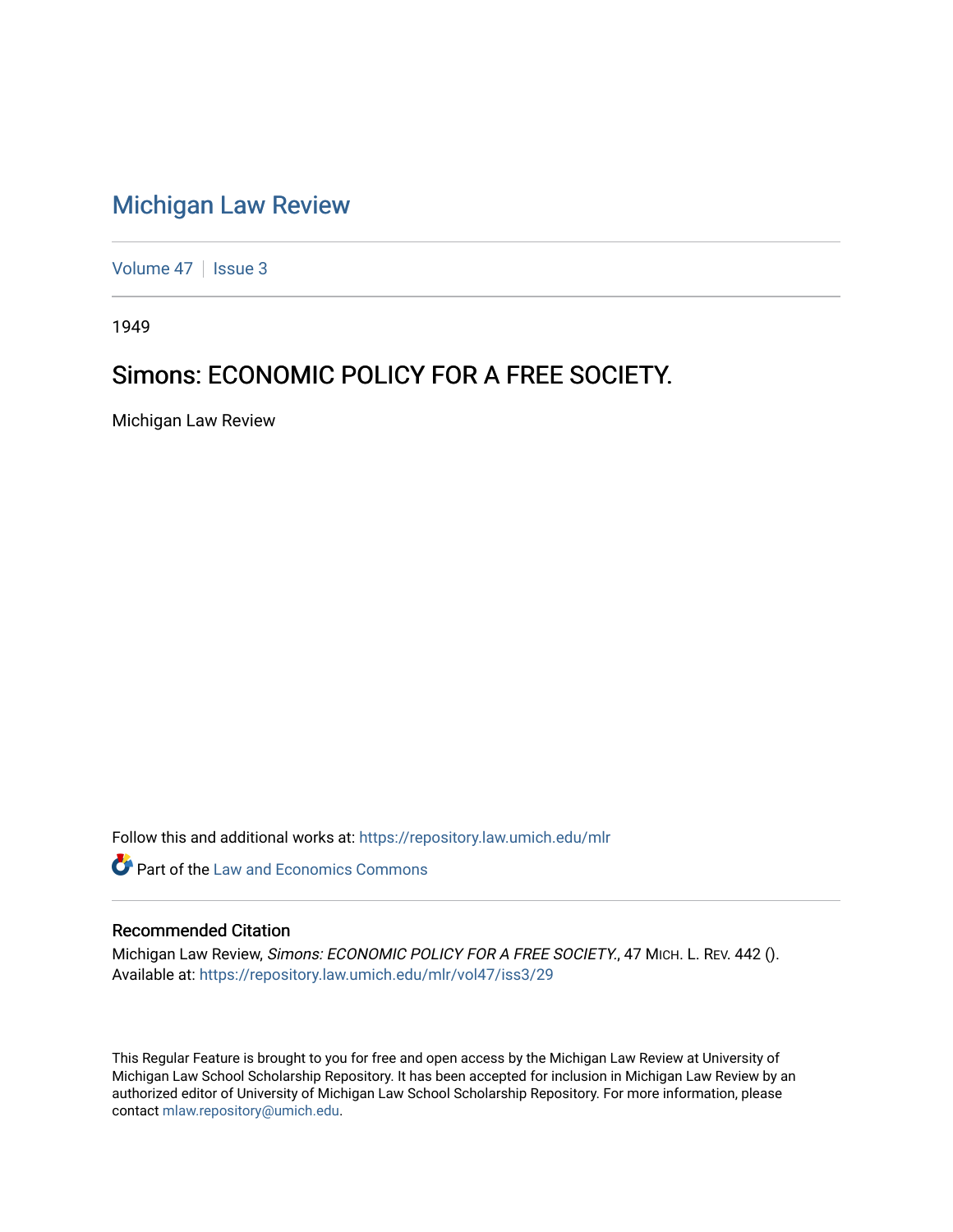# [Michigan Law Review](https://repository.law.umich.edu/mlr)

[Volume 47](https://repository.law.umich.edu/mlr/vol47) | [Issue 3](https://repository.law.umich.edu/mlr/vol47/iss3)

1949

## Simons: ECONOMIC POLICY FOR A FREE SOCIETY.

Michigan Law Review

Follow this and additional works at: [https://repository.law.umich.edu/mlr](https://repository.law.umich.edu/mlr?utm_source=repository.law.umich.edu%2Fmlr%2Fvol47%2Fiss3%2F29&utm_medium=PDF&utm_campaign=PDFCoverPages) 

**C** Part of the Law and Economics Commons

### Recommended Citation

Michigan Law Review, Simons: ECONOMIC POLICY FOR A FREE SOCIETY., 47 MICH. L. REV. 442 (). Available at: [https://repository.law.umich.edu/mlr/vol47/iss3/29](https://repository.law.umich.edu/mlr/vol47/iss3/29?utm_source=repository.law.umich.edu%2Fmlr%2Fvol47%2Fiss3%2F29&utm_medium=PDF&utm_campaign=PDFCoverPages) 

This Regular Feature is brought to you for free and open access by the Michigan Law Review at University of Michigan Law School Scholarship Repository. It has been accepted for inclusion in Michigan Law Review by an authorized editor of University of Michigan Law School Scholarship Repository. For more information, please contact [mlaw.repository@umich.edu](mailto:mlaw.repository@umich.edu).